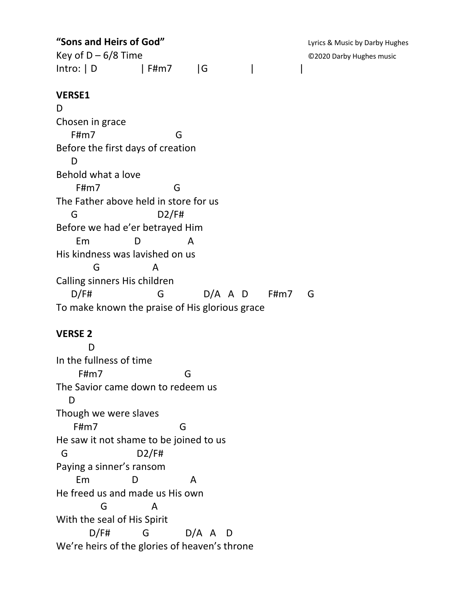**"Sons and Heirs of God"** CONSTRANGE: Lyrics & Music by Darby Hughes Key of D – 6/8 Time ©2020 Darby Hughes music | Intro: | D | F#m7 | G |

## **VERSE1**

D Chosen in grace F#m7 G Before the first days of creation D Behold what a love F#m7 G The Father above held in store for us G D2/F# Before we had e'er betrayed Him Em D A His kindness was lavished on us G A Calling sinners His children D/F# G D/A A D F#m7 G To make known the praise of His glorious grace

## **VERSE 2**

 D In the fullness of time F#m7 G The Savior came down to redeem us D Though we were slaves F#m7 G He saw it not shame to be joined to us G D2/F# Paying a sinner's ransom Em D A He freed us and made us His own G A With the seal of His Spirit  $D/F#$  G D/A A D We're heirs of the glories of heaven's throne